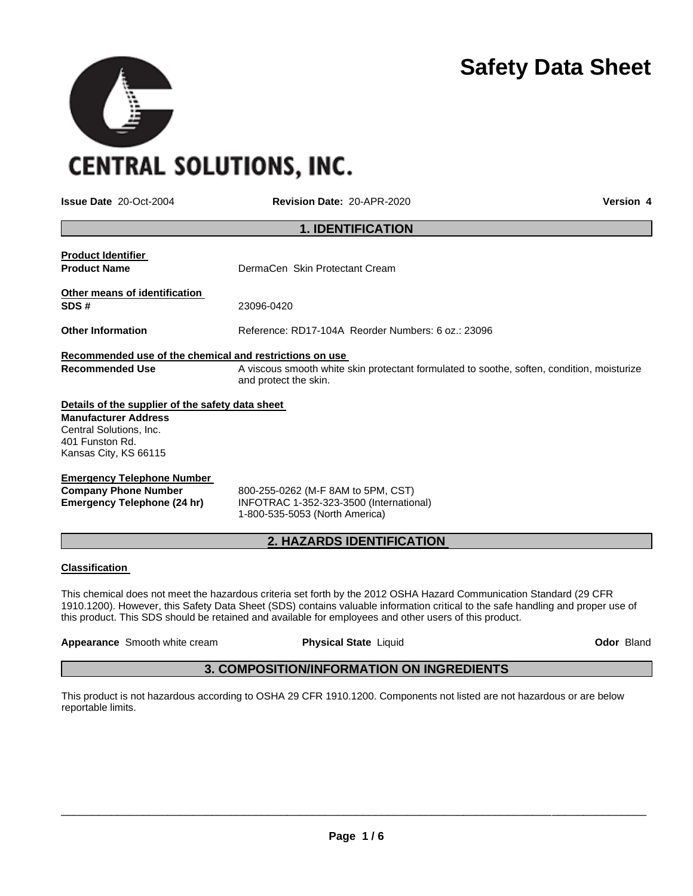

**CENTRAL SOLUTIONS, INC.** 

**Issue Date** 20-Oct-2004 **Revision Date:** 20-APR-2020 **Version 4**

|                                                                                                                                                        | <b>1. IDENTIFICATION</b>                                                                                            |  |  |
|--------------------------------------------------------------------------------------------------------------------------------------------------------|---------------------------------------------------------------------------------------------------------------------|--|--|
| <b>Product Identifier</b><br><b>Product Name</b>                                                                                                       | DermaCen Skin Protectant Cream                                                                                      |  |  |
| Other means of identification<br>SDS#                                                                                                                  | 23096-0420                                                                                                          |  |  |
| <b>Other Information</b>                                                                                                                               | Reference: RD17-104A Reorder Numbers: 6 oz.: 23096                                                                  |  |  |
| Recommended use of the chemical and restrictions on use<br><b>Recommended Use</b>                                                                      | A viscous smooth white skin protectant formulated to soothe, soften, condition, moisturize<br>and protect the skin. |  |  |
| Details of the supplier of the safety data sheet<br><b>Manufacturer Address</b><br>Central Solutions, Inc.<br>401 Funston Rd.<br>Kansas City, KS 66115 |                                                                                                                     |  |  |

**Emergency Telephone Number** 

**Company Phone Number** 800-255-0262 (M-F 8AM to 5PM, CST)<br> **Emergency Telephone (24 hr)** INFOTRAC 1-352-323-3500 (Internation **Emergency Telephone (24 hr)** INFOTRAC 1-352-323-3500 (International) 1-800-535-5053 (North America)

# **2. HAZARDS IDENTIFICATION**

#### **Classification**

This chemical does not meet the hazardous criteria set forth by the 2012 OSHA Hazard Communication Standard (29 CFR 1910.1200). However, this Safety Data Sheet (SDS) contains valuable information critical to the safe handling and proper use of this product. This SDS should be retained and available for employees and other users of this product.

**Appearance** Smooth white cream **Physical State** Liquid **Odor** Bland

# **3. COMPOSITION/INFORMATION ON INGREDIENTS**

This product is not hazardous according to OSHA 29 CFR 1910.1200. Components not listed are not hazardous or are below reportable limits.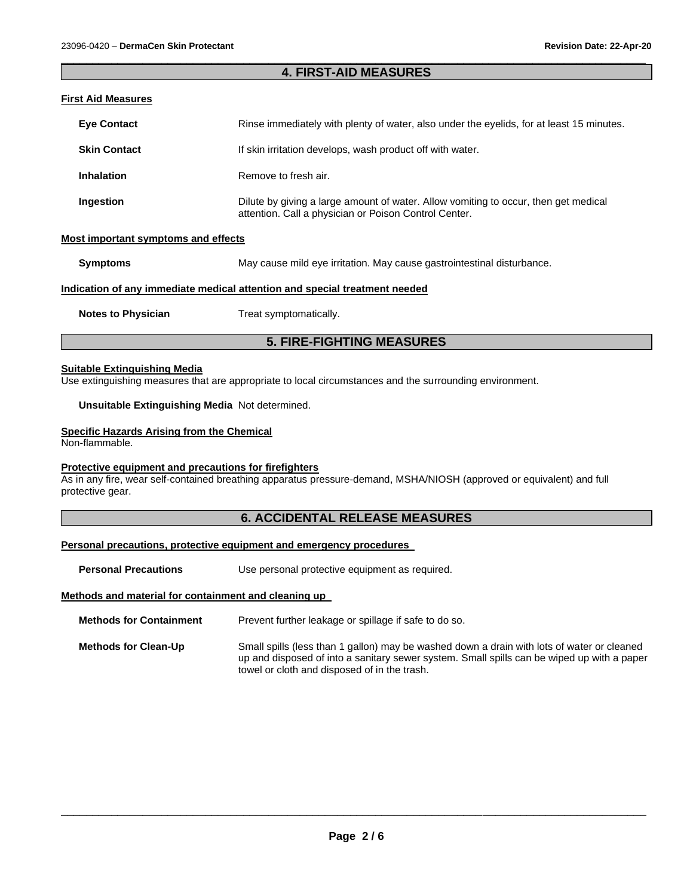## \_\_\_\_\_\_\_\_\_\_\_\_\_\_\_\_\_\_\_\_\_\_\_\_\_\_\_\_\_\_\_\_\_\_\_\_\_\_\_\_\_\_\_\_\_\_\_\_\_\_\_\_\_\_\_\_\_\_\_\_\_\_\_\_\_\_\_\_\_\_\_\_\_\_\_\_\_\_\_\_\_\_\_\_\_\_\_\_\_\_\_\_\_ **4. FIRST-AID MEASURES**

## **First Aid Measures**

| <b>Eye Contact</b>  | Rinse immediately with plenty of water, also under the eyelids, for at least 15 minutes.                                                     |
|---------------------|----------------------------------------------------------------------------------------------------------------------------------------------|
| <b>Skin Contact</b> | If skin irritation develops, wash product off with water.                                                                                    |
| <b>Inhalation</b>   | Remove to fresh air.                                                                                                                         |
| Ingestion           | Dilute by giving a large amount of water. Allow vomiting to occur, then get medical<br>attention. Call a physician or Poison Control Center. |

#### **Most important symptoms and effects**

**Symptoms May cause mild eve irritation. May cause gastrointestinal disturbance.** 

#### **Indication of any immediate medical attention and special treatment needed**

**Notes to Physician**  Treat symptomatically.

# **5. FIRE-FIGHTING MEASURES**

#### **Suitable Extinguishing Media**

Use extinguishing measures that are appropriate to local circumstances and the surrounding environment.

**Unsuitable Extinguishing Media** Not determined.

#### **Specific Hazards Arising from the Chemical**

Non-flammable.

#### **Protective equipment and precautions for firefighters**

As in any fire, wear self-contained breathing apparatus pressure-demand, MSHA/NIOSH (approved or equivalent) and full protective gear.

# **6. ACCIDENTAL RELEASE MEASURES**

## **Personal precautions, protective equipment and emergency procedures**

**Personal Precautions Use personal protective equipment as required.** 

#### **Methods and material for containment and cleaning up**

**Methods for Containment** Prevent further leakage or spillage if safe to do so.

**Methods for Clean-Up** Small spills (less than 1 gallon) may be washed down a drain with lots of water or cleaned up and disposed of into a sanitary sewer system. Small spills can be wiped up with a paper towel or cloth and disposed of in the trash.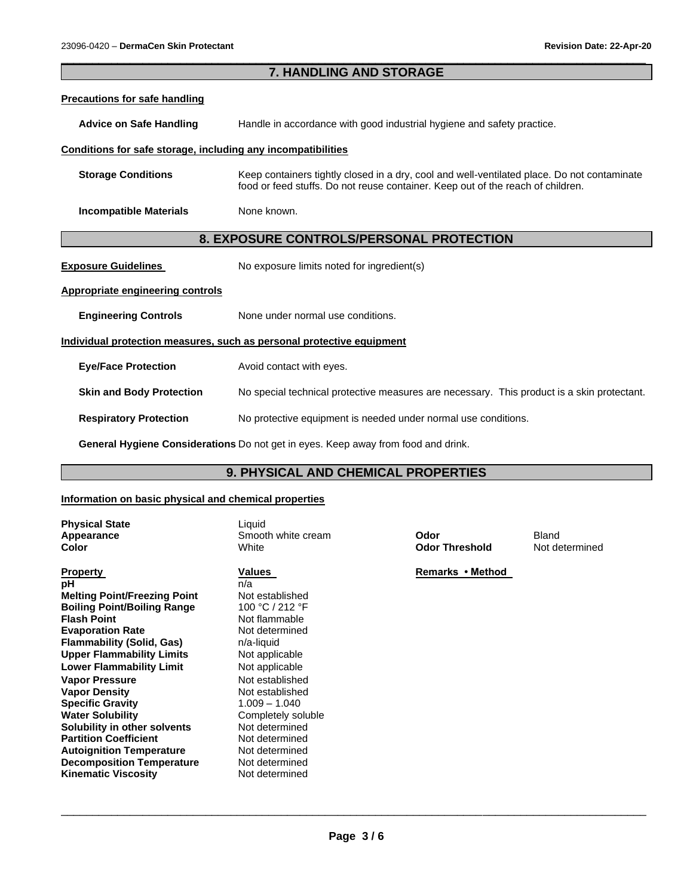|                                                                       | 7. HANDLING AND STORAGE                                                                                                                                                        |  |  |
|-----------------------------------------------------------------------|--------------------------------------------------------------------------------------------------------------------------------------------------------------------------------|--|--|
| <b>Precautions for safe handling</b>                                  |                                                                                                                                                                                |  |  |
| <b>Advice on Safe Handling</b>                                        | Handle in accordance with good industrial hygiene and safety practice.                                                                                                         |  |  |
| Conditions for safe storage, including any incompatibilities          |                                                                                                                                                                                |  |  |
| <b>Storage Conditions</b>                                             | Keep containers tightly closed in a dry, cool and well-ventilated place. Do not contaminate<br>food or feed stuffs. Do not reuse container. Keep out of the reach of children. |  |  |
| <b>Incompatible Materials</b>                                         | None known.                                                                                                                                                                    |  |  |
| 8. EXPOSURE CONTROLS/PERSONAL PROTECTION                              |                                                                                                                                                                                |  |  |
| <b>Exposure Guidelines</b>                                            | No exposure limits noted for ingredient(s)                                                                                                                                     |  |  |
| <b>Appropriate engineering controls</b>                               |                                                                                                                                                                                |  |  |
| <b>Engineering Controls</b>                                           | None under normal use conditions.                                                                                                                                              |  |  |
| Individual protection measures, such as personal protective equipment |                                                                                                                                                                                |  |  |
| <b>Eye/Face Protection</b>                                            | Avoid contact with eyes.                                                                                                                                                       |  |  |
| <b>Skin and Body Protection</b>                                       | No special technical protective measures are necessary. This product is a skin protectant.                                                                                     |  |  |
| <b>Respiratory Protection</b>                                         | No protective equipment is needed under normal use conditions.                                                                                                                 |  |  |
|                                                                       |                                                                                                                                                                                |  |  |

**General Hygiene Considerations** Do not get in eyes. Keep away from food and drink.

# **9. PHYSICAL AND CHEMICAL PROPERTIES**

## **Information on basic physical and chemical properties**

| <b>Physical State</b><br>Appearance | Liquid<br>Smooth white cream | Odor                  | Bland  |
|-------------------------------------|------------------------------|-----------------------|--------|
| Color                               | White                        | <b>Odor Threshold</b> | Not de |
| <b>Property</b>                     | <b>Values</b>                | Remarks • Method      |        |
| рH                                  | n/a                          |                       |        |
| <b>Melting Point/Freezing Point</b> | Not established              |                       |        |
| <b>Boiling Point/Boiling Range</b>  | 100 °C / 212 °F              |                       |        |
| <b>Flash Point</b>                  | Not flammable                |                       |        |
| <b>Evaporation Rate</b>             | Not determined               |                       |        |
| <b>Flammability (Solid, Gas)</b>    | n/a-liquid                   |                       |        |
| <b>Upper Flammability Limits</b>    | Not applicable               |                       |        |
| <b>Lower Flammability Limit</b>     | Not applicable               |                       |        |
| <b>Vapor Pressure</b>               | Not established              |                       |        |
| <b>Vapor Density</b>                | Not established              |                       |        |
| <b>Specific Gravity</b>             | $1.009 - 1.040$              |                       |        |
| <b>Water Solubility</b>             | Completely soluble           |                       |        |
| Solubility in other solvents        | Not determined               |                       |        |
| <b>Partition Coefficient</b>        | Not determined               |                       |        |
| <b>Autoignition Temperature</b>     | Not determined               |                       |        |
| <b>Decomposition Temperature</b>    | Not determined               |                       |        |
| <b>Kinematic Viscosity</b>          | Not determined               |                       |        |

**Odor Threshold** Not determined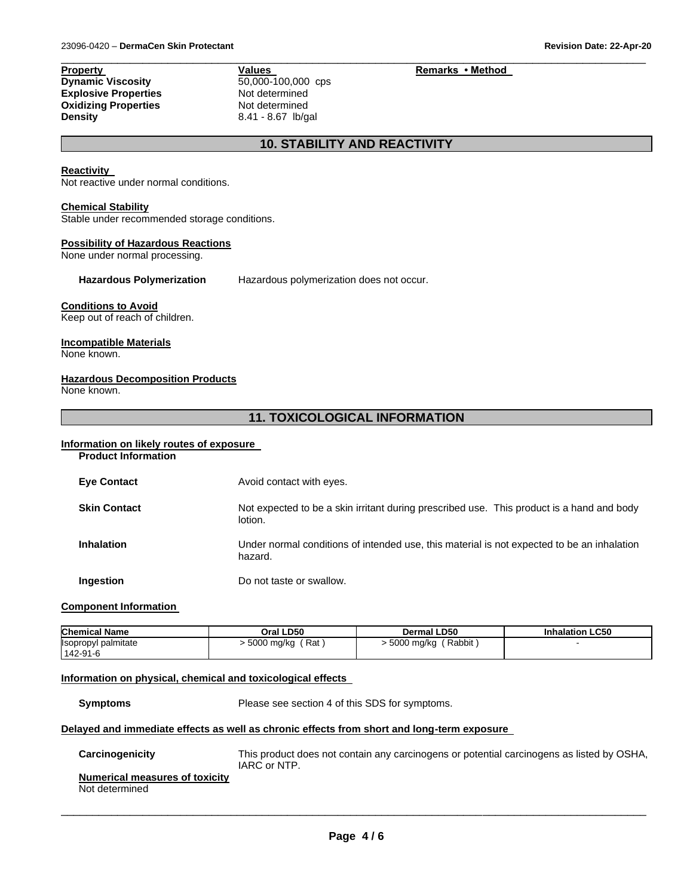**Property**<br> **Property**<br> **Dynamic Viscosity**<br> **CONFICAL SECTION**<br> **Values**<br>  $\frac{60,000-100,000}{50,000-100,000}$  cps **Dynamic Viscosity 50,000-100,000**<br>**Explosive Properties Not determined Explosive Properties Not determined**<br> **Oxidizing Properties Not determined Oxidizing Properties<br>Density** 

**Density** 8.41 - 8.67 lb/gal

# **10. STABILITY AND REACTIVITY**

\_\_\_\_\_\_\_\_\_\_\_\_\_\_\_\_\_\_\_\_\_\_\_\_\_\_\_\_\_\_\_\_\_\_\_\_\_\_\_\_\_\_\_\_\_\_\_\_\_\_\_\_\_\_\_\_\_\_\_\_\_\_\_\_\_\_\_\_\_\_\_\_\_\_\_\_\_\_\_\_\_\_\_\_\_\_\_\_\_\_\_\_\_

#### **Reactivity**

Not reactive under normal conditions.

#### **Chemical Stability**

Stable under recommended storage conditions.

#### **Possibility of Hazardous Reactions**

None under normal processing.

**Hazardous Polymerization** Hazardous polymerization does not occur.

#### **Conditions to Avoid**

Keep out of reach of children.

#### **Incompatible Materials**

None known.

#### **Hazardous Decomposition Products**

None known.

# **11. TOXICOLOGICAL INFORMATION**

#### **Information on likely routes of exposure Product Information**

| <b>FIUUUUL IIIIUI IIIAUUII</b> |                                                                                                       |
|--------------------------------|-------------------------------------------------------------------------------------------------------|
| <b>Eye Contact</b>             | Avoid contact with eyes.                                                                              |
| <b>Skin Contact</b>            | Not expected to be a skin irritant during prescribed use. This product is a hand and body<br>lotion.  |
| <b>Inhalation</b>              | Under normal conditions of intended use, this material is not expected to be an inhalation<br>hazard. |
| Ingestion                      | Do not taste or swallow.                                                                              |

#### **Component Information**

| <b>Chemical Name</b> | Oral LD50            | <b>Dermal LD50</b>       | <b>Inhalation LC50</b> |
|----------------------|----------------------|--------------------------|------------------------|
| Isopropyl palmitate  | (Rat<br>∙ 5000 mg/kg | ( Rabbit<br>- 5000 mg/kg |                        |
| 142-91-6             |                      |                          |                        |

## **Information on physical, chemical and toxicological effects**

**Symptoms** Please see section 4 of this SDS for symptoms.

## **Delayed and immediate effects as well as chronic effects from short and long-term exposure**

| Carcinogenicity                                  | This product does not contain any carcinogens or potential carcinogens as listed by OSHA,<br>IARC or NTP. |
|--------------------------------------------------|-----------------------------------------------------------------------------------------------------------|
| Numerical measures of toxicity<br>Not determined |                                                                                                           |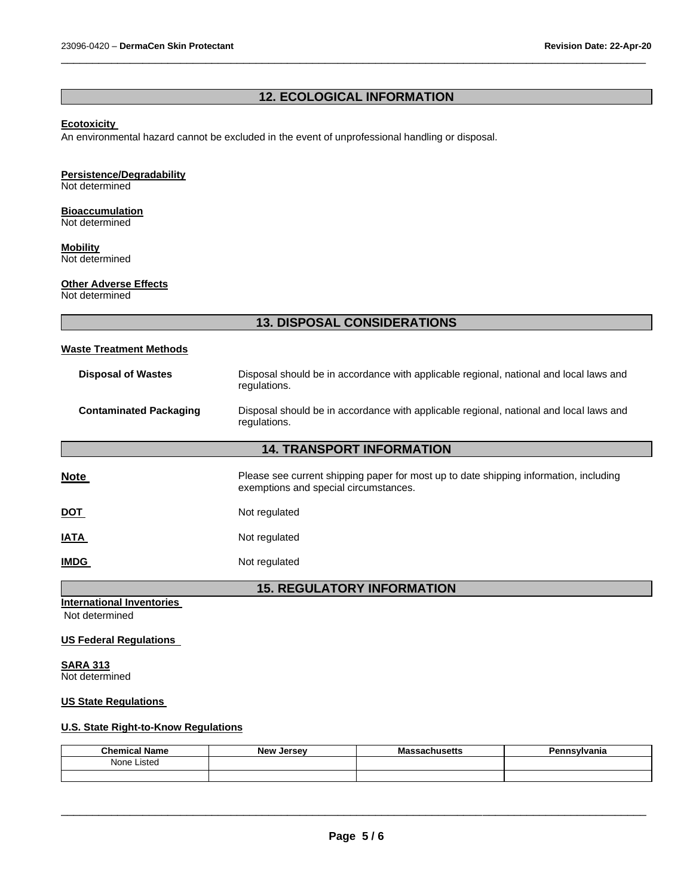# **12. ECOLOGICAL INFORMATION**

\_\_\_\_\_\_\_\_\_\_\_\_\_\_\_\_\_\_\_\_\_\_\_\_\_\_\_\_\_\_\_\_\_\_\_\_\_\_\_\_\_\_\_\_\_\_\_\_\_\_\_\_\_\_\_\_\_\_\_\_\_\_\_\_\_\_\_\_\_\_\_\_\_\_\_\_\_\_\_\_\_\_\_\_\_\_\_\_\_\_\_\_\_

# **Ecotoxicity**

An environmental hazard cannot be excluded in the event of unprofessional handling or disposal.

## **Persistence/Degradability**

Not determined

#### **Bioaccumulation**

Not determined

# **Mobility**

Not determined

## **Other Adverse Effects**

Not determined

# **13. DISPOSAL CONSIDERATIONS**

| <b>Waste Treatment Methods</b> |
|--------------------------------|
|--------------------------------|

| <b>Disposal of Wastes</b>     | Disposal should be in accordance with applicable regional, national and local laws and<br>regulations. |
|-------------------------------|--------------------------------------------------------------------------------------------------------|
| <b>Contaminated Packaging</b> | Disposal should be in accordance with applicable regional, national and local laws and<br>regulations. |

# **14. TRANSPORT INFORMATION**

| <b>Note</b> | Please see current shipping paper for most up to date shipping information, including<br>exemptions and special circumstances. |
|-------------|--------------------------------------------------------------------------------------------------------------------------------|
| <u>DOT</u>  | Not regulated                                                                                                                  |
| <u>IATA</u> | Not regulated                                                                                                                  |
| <b>IMDG</b> | Not regulated                                                                                                                  |

# **15. REGULATORY INFORMATION**

**International Inventories** 

Not determined

## **US Federal Regulations**

**SARA 313** Not determined

#### **US State Regulations**

# **U.S. State Right-to-Know Regulations**

| <b>Chemical Name</b> | <b>New Jersey</b> | ssachusetts<br>IVIJ. | Pennsylvania |
|----------------------|-------------------|----------------------|--------------|
| None Listed          |                   |                      |              |
|                      |                   |                      |              |